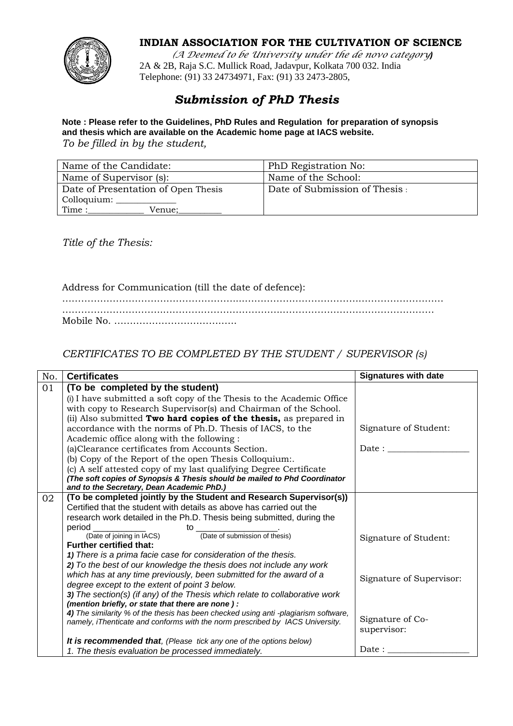

## **INDIAN ASSOCIATION FOR THE CULTIVATION OF SCIENCE**

*(A Deemed to be University under the de novo category)* 2A & 2B, Raja S.C. Mullick Road, Jadavpur, Kolkata 700 032. India Telephone: (91) 33 24734971, Fax: (91) 33 2473-2805,

## *Submission of PhD Thesis*

**Note : Please refer to the Guidelines, PhD Rules and Regulation for preparation of synopsis and thesis which are available on the Academic home page at IACS website.**  *To be filled in by the student,*

| Name of the Candidate:              | PhD Registration No:           |
|-------------------------------------|--------------------------------|
| Name of Supervisor (s):             | Name of the School:            |
| Date of Presentation of Open Thesis | Date of Submission of Thesis : |
| Colloquium:                         |                                |
| Time:<br>Venue:                     |                                |

*Title of the Thesis:*

Address for Communication (till the date of defence):

*CERTIFICATES TO BE COMPLETED BY THE STUDENT / SUPERVISOR (s)*

| No. | <b>Certificates</b>                                                                                                                                                                                                                      | <b>Signatures with date</b> |
|-----|------------------------------------------------------------------------------------------------------------------------------------------------------------------------------------------------------------------------------------------|-----------------------------|
| 01  | (To be completed by the student)                                                                                                                                                                                                         |                             |
|     | (i) I have submitted a soft copy of the Thesis to the Academic Office                                                                                                                                                                    |                             |
|     | with copy to Research Supervisor(s) and Chairman of the School.                                                                                                                                                                          |                             |
|     | (ii) Also submitted Two hard copies of the thesis, as prepared in                                                                                                                                                                        |                             |
|     | accordance with the norms of Ph.D. Thesis of IACS, to the                                                                                                                                                                                | Signature of Student:       |
|     | Academic office along with the following:                                                                                                                                                                                                |                             |
|     | (a)Clearance certificates from Accounts Section.                                                                                                                                                                                         | Date :                      |
|     | (b) Copy of the Report of the open Thesis Colloquium:.                                                                                                                                                                                   |                             |
|     | (c) A self attested copy of my last qualifying Degree Certificate                                                                                                                                                                        |                             |
|     | (The soft copies of Synopsis & Thesis should be mailed to Phd Coordinator                                                                                                                                                                |                             |
|     | and to the Secretary, Dean Academic PhD.)                                                                                                                                                                                                |                             |
| 02  | (To be completed jointly by the Student and Research Supervisor(s))                                                                                                                                                                      |                             |
|     | Certified that the student with details as above has carried out the                                                                                                                                                                     |                             |
|     | research work detailed in the Ph.D. Thesis being submitted, during the                                                                                                                                                                   |                             |
|     | period<br>to the contract of the contract of the contract of the contract of the contract of the contract of the contract of the contract of the contract of the contract of the contract of the contract of the contract of the contrac |                             |
|     | (Date of submission of thesis)<br>(Date of joining in IACS)                                                                                                                                                                              | Signature of Student:       |
|     | <b>Further certified that:</b>                                                                                                                                                                                                           |                             |
|     | 1) There is a prima facie case for consideration of the thesis.                                                                                                                                                                          |                             |
|     | 2) To the best of our knowledge the thesis does not include any work                                                                                                                                                                     |                             |
|     | which has at any time previously, been submitted for the award of a                                                                                                                                                                      | Signature of Supervisor:    |
|     | degree except to the extent of point 3 below.                                                                                                                                                                                            |                             |
|     | 3) The section(s) (if any) of the Thesis which relate to collaborative work                                                                                                                                                              |                             |
|     | (mention briefly, or state that there are none):                                                                                                                                                                                         |                             |
|     | 4) The similarity % of the thesis has been checked using anti -plagiarism software,<br>namely, iThenticate and conforms with the norm prescribed by IACS University.                                                                     | Signature of Co-            |
|     |                                                                                                                                                                                                                                          | supervisor:                 |
|     | It is recommended that, (Please tick any one of the options below)                                                                                                                                                                       |                             |
|     | 1. The thesis evaluation be processed immediately.                                                                                                                                                                                       | Date :                      |